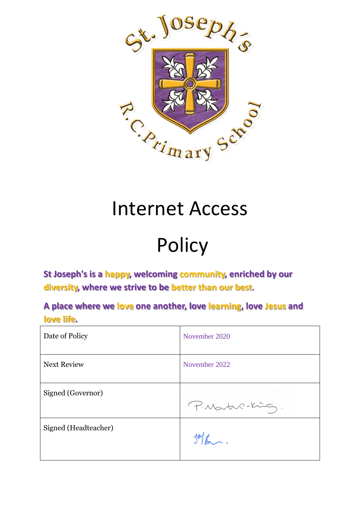

## Internet Access

# Policy

**St Joseph's is a happy, welcoming community, enriched by our diversity, where we strive to be better than our best.**

**A place where we love one another, love learning, love Jesus and love life.**

| Date of Policy       | November 2020   |
|----------------------|-----------------|
| <b>Next Review</b>   | November 2022   |
| Signed (Governor)    | P. Martin-King. |
| Signed (Headteacher) |                 |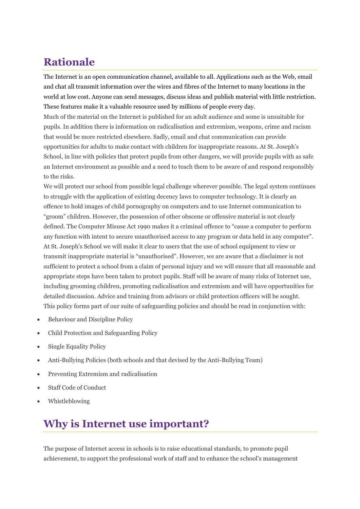## **Rationale**

The Internet is an open communication channel, available to all. Applications such as the Web, email and chat all transmit information over the wires and fibres of the Internet to many locations in the world at low cost. Anyone can send messages, discuss ideas and publish material with little restriction. These features make it a valuable resource used by millions of people every day.

Much of the material on the Internet is published for an adult audience and some is unsuitable for pupils. In addition there is information on radicalisation and extremism, weapons, crime and racism that would be more restricted elsewhere. Sadly, email and chat communication can provide opportunities for adults to make contact with children for inappropriate reasons. At St. Joseph's School, in line with policies that protect pupils from other dangers, we will provide pupils with as safe an Internet environment as possible and a need to teach them to be aware of and respond responsibly to the risks.

We will protect our school from possible legal challenge wherever possible. The legal system continues to struggle with the application of existing decency laws to computer technology. It is clearly an offence to hold images of child pornography on computers and to use Internet communication to "groom" children. However, the possession of other obscene or offensive material is not clearly defined. The Computer Misuse Act 1990 makes it a criminal offence to "cause a computer to perform any function with intent to secure unauthorised access to any program or data held in any computer". At St. Joseph's School we will make it clear to users that the use of school equipment to view or transmit inappropriate material is "unauthorised". However, we are aware that a disclaimer is not sufficient to protect a school from a claim of personal injury and we will ensure that all reasonable and appropriate steps have been taken to protect pupils. Staff will be aware of many risks of Internet use, including grooming children, promoting radicalisation and extremism and will have opportunities for detailed discussion. Advice and training from advisors or child protection officers will be sought. This policy forms part of our suite of safeguarding policies and should be read in conjunction with:

- Behaviour and Discipline Policy
- Child Protection and Safeguarding Policy
- Single Equality Policy
- Anti-Bullying Policies (both schools and that devised by the Anti-Bullying Team)
- Preventing Extremism and radicalisation
- Staff Code of Conduct
- Whistleblowing

#### **Why is Internet use important?**

The purpose of Internet access in schools is to raise educational standards, to promote pupil achievement, to support the professional work of staff and to enhance the school's management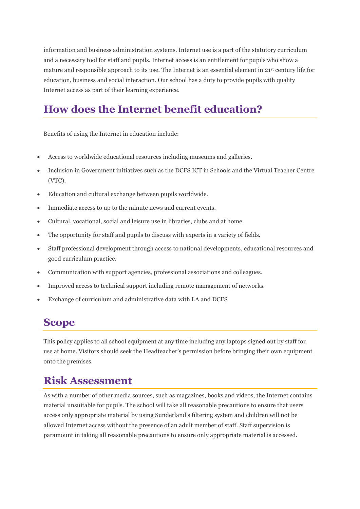information and business administration systems. Internet use is a part of the statutory curriculum and a necessary tool for staff and pupils. Internet access is an entitlement for pupils who show a mature and responsible approach to its use. The Internet is an essential element in 21st century life for education, business and social interaction. Our school has a duty to provide pupils with quality Internet access as part of their learning experience.

## **How does the Internet benefit education?**

Benefits of using the Internet in education include:

- Access to worldwide educational resources including museums and galleries.
- Inclusion in Government initiatives such as the DCFS ICT in Schools and the Virtual Teacher Centre (VTC).
- Education and cultural exchange between pupils worldwide.
- Immediate access to up to the minute news and current events.
- Cultural, vocational, social and leisure use in libraries, clubs and at home.
- The opportunity for staff and pupils to discuss with experts in a variety of fields.
- Staff professional development through access to national developments, educational resources and good curriculum practice.
- Communication with support agencies, professional associations and colleagues.
- Improved access to technical support including remote management of networks.
- Exchange of curriculum and administrative data with LA and DCFS

#### **Scope**

This policy applies to all school equipment at any time including any laptops signed out by staff for use at home. Visitors should seek the Headteacher's permission before bringing their own equipment onto the premises.

#### **Risk Assessment**

As with a number of other media sources, such as magazines, books and videos, the Internet contains material unsuitable for pupils. The school will take all reasonable precautions to ensure that users access only appropriate material by using Sunderland's filtering system and children will not be allowed Internet access without the presence of an adult member of staff. Staff supervision is paramount in taking all reasonable precautions to ensure only appropriate material is accessed.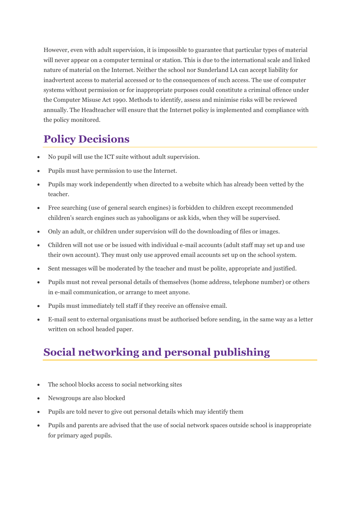However, even with adult supervision, it is impossible to guarantee that particular types of material will never appear on a computer terminal or station. This is due to the international scale and linked nature of material on the Internet. Neither the school nor Sunderland LA can accept liability for inadvertent access to material accessed or to the consequences of such access. The use of computer systems without permission or for inappropriate purposes could constitute a criminal offence under the Computer Misuse Act 1990. Methods to identify, assess and minimise risks will be reviewed annually. The Headteacher will ensure that the Internet policy is implemented and compliance with the policy monitored.

## **Policy Decisions**

- No pupil will use the ICT suite without adult supervision.
- Pupils must have permission to use the Internet.
- Pupils may work independently when directed to a website which has already been vetted by the teacher.
- Free searching (use of general search engines) is forbidden to children except recommended children's search engines such as yahooligans or ask kids, when they will be supervised.
- Only an adult, or children under supervision will do the downloading of files or images.
- Children will not use or be issued with individual e-mail accounts (adult staff may set up and use their own account). They must only use approved email accounts set up on the school system.
- Sent messages will be moderated by the teacher and must be polite, appropriate and justified.
- Pupils must not reveal personal details of themselves (home address, telephone number) or others in e-mail communication, or arrange to meet anyone.
- Pupils must immediately tell staff if they receive an offensive email.
- E-mail sent to external organisations must be authorised before sending, in the same way as a letter written on school headed paper.

## **Social networking and personal publishing**

- The school blocks access to social networking sites
- Newsgroups are also blocked
- Pupils are told never to give out personal details which may identify them
- Pupils and parents are advised that the use of social network spaces outside school is inappropriate for primary aged pupils.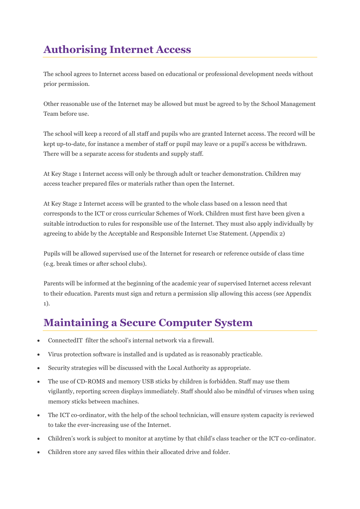## **Authorising Internet Access**

The school agrees to Internet access based on educational or professional development needs without prior permission.

Other reasonable use of the Internet may be allowed but must be agreed to by the School Management Team before use.

The school will keep a record of all staff and pupils who are granted Internet access. The record will be kept up-to-date, for instance a member of staff or pupil may leave or a pupil's access be withdrawn. There will be a separate access for students and supply staff.

At Key Stage 1 Internet access will only be through adult or teacher demonstration. Children may access teacher prepared files or materials rather than open the Internet.

At Key Stage 2 Internet access will be granted to the whole class based on a lesson need that corresponds to the ICT or cross curricular Schemes of Work. Children must first have been given a suitable introduction to rules for responsible use of the Internet. They must also apply individually by agreeing to abide by the Acceptable and Responsible Internet Use Statement. (Appendix 2)

Pupils will be allowed supervised use of the Internet for research or reference outside of class time (e.g. break times or after school clubs).

Parents will be informed at the beginning of the academic year of supervised Internet access relevant to their education. Parents must sign and return a permission slip allowing this access (see Appendix 1).

## **Maintaining a Secure Computer System**

- ConnectedIT filter the school's internal network via a firewall.
- Virus protection software is installed and is updated as is reasonably practicable.
- Security strategies will be discussed with the Local Authority as appropriate.
- The use of CD-ROMS and memory USB sticks by children is forbidden. Staff may use them vigilantly, reporting screen displays immediately. Staff should also be mindful of viruses when using memory sticks between machines.
- The ICT co-ordinator, with the help of the school technician, will ensure system capacity is reviewed to take the ever-increasing use of the Internet.
- Children's work is subject to monitor at anytime by that child's class teacher or the ICT co-ordinator.
- Children store any saved files within their allocated drive and folder.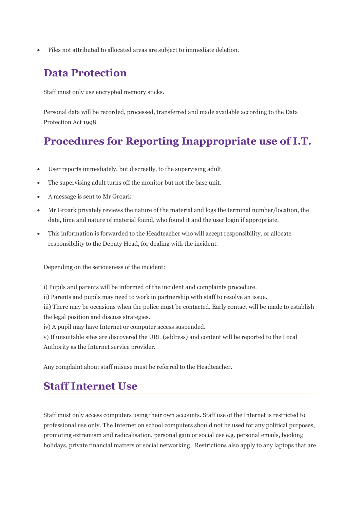• Files not attributed to allocated areas are subject to immediate deletion.

#### **Data Protection**

Staff must only use encrypted memory sticks.

Personal data will be recorded, processed, transferred and made available according to the Data Protection Act 1998.

#### **Procedures for Reporting Inappropriate use of I.T.**

- User reports immediately, but discreetly, to the supervising adult.
- The supervising adult turns off the monitor but not the base unit.
- A message is sent to Mr Groark.
- Mr Groark privately reviews the nature of the material and logs the terminal number/location, the date, time and nature of material found, who found it and the user login if appropriate.
- This information is forwarded to the Headteacher who will accept responsibility, or allocate responsibility to the Deputy Head, for dealing with the incident.

Depending on the seriousness of the incident:

i) Pupils and parents will be informed of the incident and complaints procedure.

ii) Parents and pupils may need to work in partnership with staff to resolve an issue.

iii) There may be occasions when the police must be contacted. Early contact will be made to establish the legal position and discuss strategies.

iv) A pupil may have Internet or computer access suspended.

v) If unsuitable sites are discovered the URL (address) and content will be reported to the Local Authority as the Internet service provider.

Any complaint about staff misuse must be referred to the Headteacher.

#### **Staff Internet Use**

Staff must only access computers using their own accounts. Staff use of the Internet is restricted to professional use only. The Internet on school computers should not be used for any political purposes, promoting extremism and radicalisation, personal gain or social use e.g. personal emails, booking holidays, private financial matters or social networking. Restrictions also apply to any laptops that are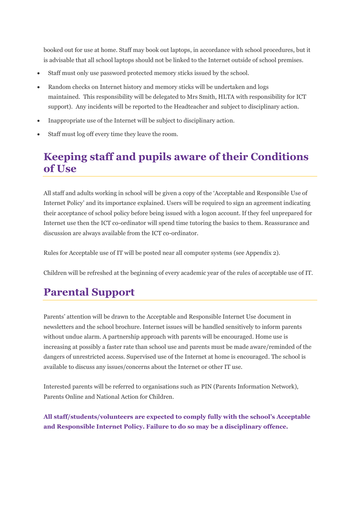booked out for use at home. Staff may book out laptops, in accordance with school procedures, but it is advisable that all school laptops should not be linked to the Internet outside of school premises.

- Staff must only use password protected memory sticks issued by the school.
- Random checks on Internet history and memory sticks will be undertaken and logs maintained. This responsibility will be delegated to Mrs Smith, HLTA with responsibility for ICT support). Any incidents will be reported to the Headteacher and subject to disciplinary action.
- Inappropriate use of the Internet will be subject to disciplinary action.
- Staff must log off every time they leave the room.

#### **Keeping staff and pupils aware of their Conditions of Use**

All staff and adults working in school will be given a copy of the 'Acceptable and Responsible Use of Internet Policy' and its importance explained. Users will be required to sign an agreement indicating their acceptance of school policy before being issued with a logon account. If they feel unprepared for Internet use then the ICT co-ordinator will spend time tutoring the basics to them. Reassurance and discussion are always available from the ICT co-ordinator.

Rules for Acceptable use of IT will be posted near all computer systems (see Appendix 2).

Children will be refreshed at the beginning of every academic year of the rules of acceptable use of IT.

## **Parental Support**

Parents' attention will be drawn to the Acceptable and Responsible Internet Use document in newsletters and the school brochure. Internet issues will be handled sensitively to inform parents without undue alarm. A partnership approach with parents will be encouraged. Home use is increasing at possibly a faster rate than school use and parents must be made aware/reminded of the dangers of unrestricted access. Supervised use of the Internet at home is encouraged. The school is available to discuss any issues/concerns about the Internet or other IT use.

Interested parents will be referred to organisations such as PIN (Parents Information Network), Parents Online and National Action for Children.

**All staff/students/volunteers are expected to comply fully with the school's Acceptable and Responsible Internet Policy. Failure to do so may be a disciplinary offence.**